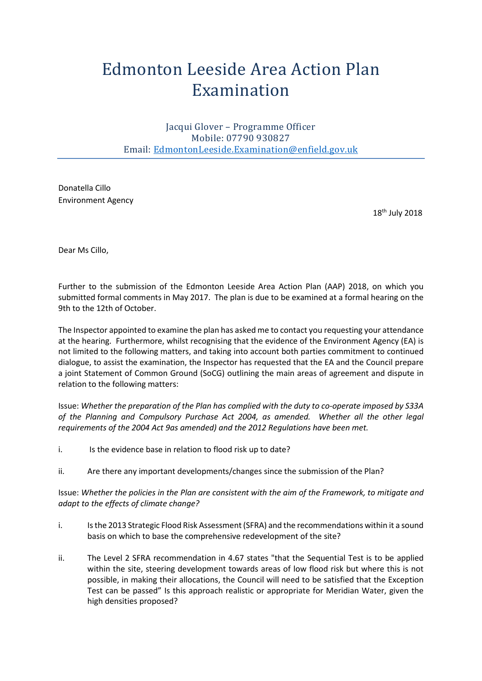## Edmonton Leeside Area Action Plan Examination

Jacqui Glover – Programme Officer Mobile: 07790 930827 Email: [EdmontonLeeside.Examination@enfield.gov.uk](mailto:EdmontonLeeside.Examination@enfield.gov.uk)

Donatella Cillo Environment Agency

 $18<sup>th</sup>$  July 2018

Dear Ms Cillo,

Further to the submission of the Edmonton Leeside Area Action Plan (AAP) 2018, on which you submitted formal comments in May 2017. The plan is due to be examined at a formal hearing on the 9th to the 12th of October.

The Inspector appointed to examine the plan has asked me to contact you requesting your attendance at the hearing. Furthermore, whilst recognising that the evidence of the Environment Agency (EA) is not limited to the following matters, and taking into account both parties commitment to continued dialogue, to assist the examination, the Inspector has requested that the EA and the Council prepare a joint Statement of Common Ground (SoCG) outlining the main areas of agreement and dispute in relation to the following matters:

Issue: *Whether the preparation of the Plan has complied with the duty to co-operate imposed by S33A of the Planning and Compulsory Purchase Act 2004, as amended. Whether all the other legal requirements of the 2004 Act 9as amended) and the 2012 Regulations have been met.* 

- i. Is the evidence base in relation to flood risk up to date?
- ii. Are there any important developments/changes since the submission of the Plan?

Issue: *Whether the policies in the Plan are consistent with the aim of the Framework, to mitigate and adapt to the effects of climate change?* 

- i. Is the 2013 Strategic Flood Risk Assessment (SFRA) and the recommendations within it a sound basis on which to base the comprehensive redevelopment of the site?
- ii. The Level 2 SFRA recommendation in 4.67 states "that the Sequential Test is to be applied within the site, steering development towards areas of low flood risk but where this is not possible, in making their allocations, the Council will need to be satisfied that the Exception Test can be passed" Is this approach realistic or appropriate for Meridian Water, given the high densities proposed?